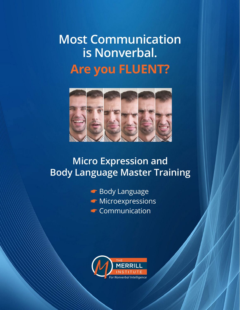# **Most Communication is Nonverbal. Are you FLUENT?**



## **Micro Expression and Body Language Master Training**

- $\bullet$  Body Language  $\bullet$  Microexpressions
- $\bullet$  Communication

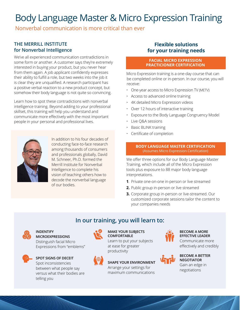## Body Language Master & Micro Expression Training

Nonverbal communication is more critical than ever

### **THE MERRILL INSTITUTE for Nonverbal Intelligence**

We've all experienced communication contradictions in some form or another. A customer says they're extremely interested in buying your product, but you never hear from them again. A job applicant confidently expresses their ability to fulfill a role, but two weeks into the job it is clear they are unqualified. A research participant has a positive verbal reaction to a new product concept, but somehow their body language is not quite so convincing.

Learn how to spot these contradictions with nonverbal intelligence training. Beyond adding to your professional skillset, this training will help you understand and communicate more effectively with the most important people in your personal and professional lives.



In addition to his four decades of conducting face-to-face research among thousands of consumers and professionals globally, David M. Schneer, Ph.D. formed the Merrill Institute for Nonverbal Intelligence to complete his vision of teaching others how to decode the nonverbal language of our bodies.

### **Flexible solutions for your training needs**

#### **FACIAL MICRO EXPRESSION PRACTICIONER CERTIFICATION**

Micro Expression training is a one-day course that can be completed online or in-person. In our course, you will receive:

- One-year access to Micro Expression TV (METV)
- Access to advanced online training
- 4K detailed Micro Expression videos
- Over 12 hours of interactive training
- Exposure to the Body Language Congruency Model
- Live Q&A sessions
- Basic BLINK training
- Certificate of completion

#### **BODY LANGUAGE MASTER CERTIFICATION** (Assumes Micro Expression Certification)

We offer three options for our Body Language Master Training, which include all of the Micro Expression tools plus exposure to 88 major body language interpretations.

- **1**. Private one-on-one in-person or live streamed
- **2.** Public group in-person or live streamed
- **3.** Corporate group in-person or live-streamed. Our customized corporate sessions tailor the content to your companies needs

## **In our training, you will learn to:**



#### **INDENTIFY**

**MICROEXPRESSIONS** Distinguish facial Micro Expressions from "emblems"



**SPOT SIGNS OF DECEIT**

Spot inconsistencies between what people say versus what their bodies are telling you



#### **MAKE YOUR SUBJECTS COMFORTABLE**

Learn to put your subjects at ease for greater productivity

### **SHAPE YOUR ENVIRONMENT**

Arrange your settings for maximum communications



#### **BECOME A MORE EFFECTIVE LEADER**

Communicate more effectively and credibly



#### **BECOME A BETTER NEGOTIATOR** Gain an edge in negotiations